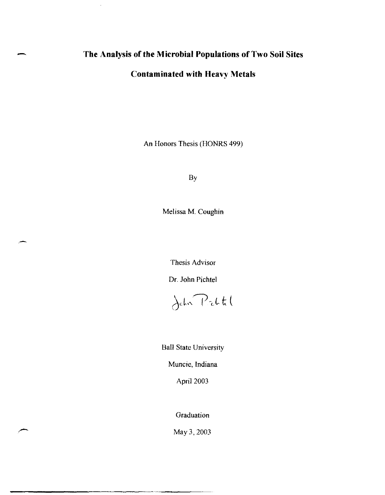# - **The Analysis of the Microbial Populations of Two Soil Sites**

 $\pm$ 

## **Contaminated with Heavy Metals**

An Honors Thesis (HONRS 499)

By

Melissa M. Coughin

Thesis Advisor

Dr. John Pichtel



Ball State University

Muncie, Indiana

April 2003

Graduation

May3,2003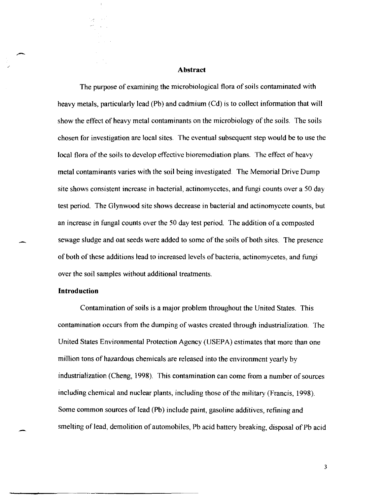### **Abstract**

The purpose of examining the microbiological flora of soils contaminated with heavy metals, particularly lead (Pb) and cadmium (Cd) is to collect information that will show the effect of heavy metal contaminants on the microbiology of the soils. The soils chosen for investigation are local sites. The eventual subsequent step would be to use the local flora of the soils to develop effective bioremediation plans. The effect of heavy metal contaminants varies with the soil being investigated. The Memorial Drive Dump site shows consistent increase in bacterial, actinomycetes, and fungi counts over a 50 day test period. The Glynwood site shows decrease in bacterial and actinomycete counts, but an increase in fungal counts over the 50 day test period. The addition of a composted sewage sludge and oat seeds were added to some of the soils of both sites. The presence of both of these additions lead to increased levels of bacteria, actinomycetes, and fungi over the soil samples without additional treatments.

### **Introduction**

Contamination of soils is a major problem throughout the United States. This contamination occurs from the dumping of wastes created through industrialization. The United States Environmental Protection Agency (USEPA) estimates that more than one million tons of hazardous chemicals are released into the environment yearly by industrialization (Cheng, 1998). This contamination can come from a number of sources including chemical and nuclear plants, including those of the military (Francis, 1998). Some common sources of lead (Pb) include paint, gasoline additives, refining and smelting of lead, demolition of automobiles, Pb acid battery breaking, disposal of Pb acid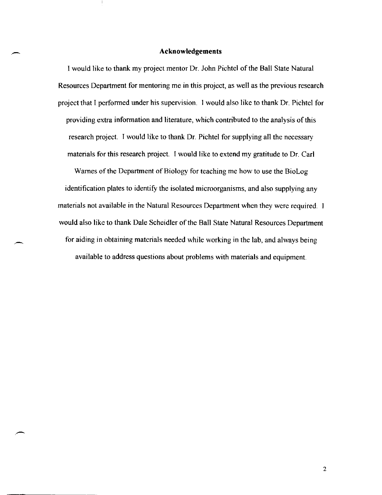#### **Acknowledgements**

I would like to thank my project mentor Dr. John Pichtel of the Ball State Natural Resources Department for mentoring me in this project, as well as the previous research project that I performed under his supervision. I would also like to thank Dr. Pichtel for providing extra information and literature, which contributed to the analysis of this research project. I would like to thank Dr. Pichtel for supplying all the necessary materials for this research project. I would like to extend my gratitude to Dr. Carl

Warnes of the Department of Biology for teaching me how to use the BioLog identification plates to identify the isolated microorganisms, and also supplying any materials not available in the Natural Resources Department when they were required. would also like to thank Dale Scheidler of the Ball State Natural Resources Department for aiding in obtaining materials needed while working in the lab, and always being available to address questions about problems with materials and equipment.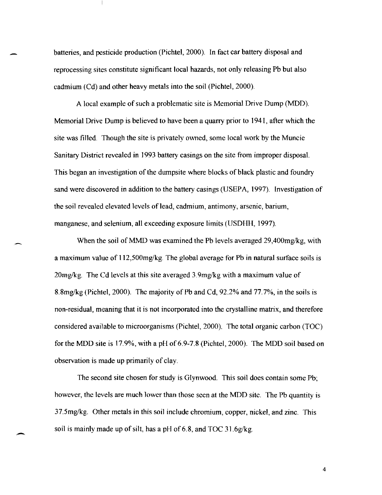batteries, and pesticide production (Pichtel, 2000). In fact car battery disposal and reprocessing sites constitute significant local hazards, not only releasing Pb but also cadmium (Cd) and other heavy metals into the soil (Pichte\, 2000).

A local example of such a problematic site is Memorial Drive Dump (MDD). Memorial Drive Dump is believed to have been a quarry prior to 1941, after which the site was filled. Though the site is privately owned, some local work by the Muncie Sanitary District revealed in 1993 battery casings on the site from improper disposal. This began an investigation of the dumpsite where blocks of black plastic and foundry sand were discovered in addition to the battery casings (USEPA, 1997). Investigation of the soil revealed elevated levels oflead, cadmium, antimony, arsenic, barium, manganese, and selenium, all exceeding exposure limits (USDHH, 1997).

When the soil of MMD was examined the Pb levels averaged 29,400mg/kg, with a maximum value of 112,500mg/kg. The global average for Pb in natural surface soils is  $20$ mg/kg. The Cd levels at this site averaged  $3.9$ mg/kg with a maximum value of 8.8mglkg (Pichtel, 2000). The majority of Pb and Cd, 92.2% and 77. 7%, in the soils is non-residual, meaning that it is not incorporated into the crystalline matrix, and therefore considered available to microorganisms (Pichtel, 2000). The total organic carbon (TOC) for the MDD site is 17.9%, with a pH of 6.9-7.8 (Pichtel, 2000). The MDD soil based on observation is made up primarily of clay.

The second site chosen for study is Glynwood. This soil does contain some Pb; however, the levels are much lower than those seen at the MDD site. The Pb quantity is 37.5mglkg. Other metals in this soil include chromium, copper, nickel, and zinc. This soil is mainly made up of silt, has a pH of 6.8, and TOC  $31.6g/kg$ .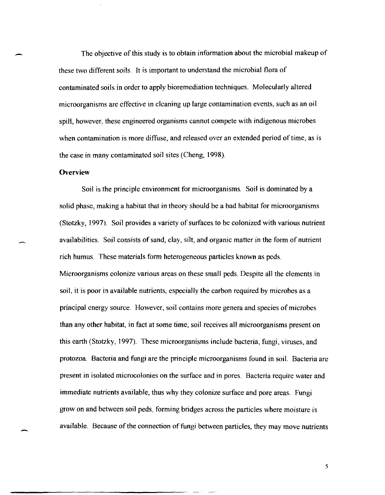The objective of this study is to obtain information about the microbial makeup of these two different soils. It is important to understand the microbial flora of contaminated soils in order to apply bioremediation techniques. Molecularly altered microorganisms are effective in cleaning up large contamination events, such as an oil spill, however, these engineered organisms cannot compete with indigenous microbes when contamination is more diffuse, and released over an extended period of time, as is the case in many contaminated soil sites (Cheng, 1998).

### **Overview**

Soil is the principle environment for microorganisms. Soil is dominated by a solid phase, making a habitat that in theory should be a bad habitat for microorganisms (Stotzky, 1997). Soil provides a variety of surfaces to be colonized with various nutrient availabilities. Soil consists of sand, clay, silt, and organic matter in the form of nutrient rich humus. These materials form heterogeneous particles known as peds. Microorganisms colonize various areas on these small peds. Despite all the elements in soil, it is poor in available nutrients, especially the carbon required by microbes as a principal energy source. However, soil contains more genera and species of microbes than any other habitat, in fact at some time, soil receives all microorganisms present on this earth (Stotzky, 1997). These microorganisms include bacteria, fungi, viruses, and protozoa. Bacteria and fungi are the principle microorganisms found in soil. Bacteria are present in isolated microcolonies on the surface and in pores. Bacteria require water and immediate nutrients available, thus why they colonize surface and pore areas. Fungi grow on and between soil peds, forming bridges across the particles where moisture is available. Because of the connection of fungi between particles, they may move nutrients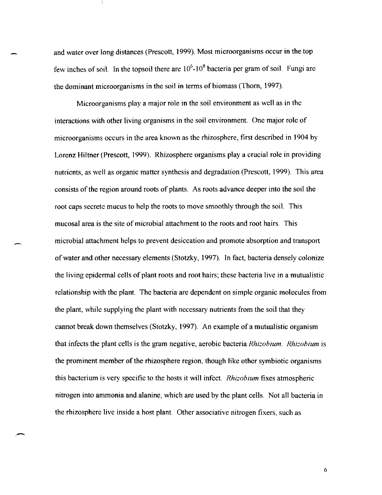and water over long distances (Prescott, 1999). Most microorganisms occur in the top few inches of soil. In the topsoil there are  $10^6$ - $10^8$  bacteria per gram of soil. Fungi are the dominant microorganisms in the soil in terms of biomass (Thorn, 1997).

Microorganisms playa major role in the soil environment as well as in the interactions with other living organisms in the soil environment. One major role of microorganisms occurs in the area known as the rhizosphere, first described in 1904 by Lorenz Hiltner (Prescott, 1999). Rhizosphere organisms play a crucial role in providing nutrients, as well as organic matter synthesis and degradation (Prescott, 1999). This area consists of the region around roots of plants. As roots advance deeper into the soil the root caps secrete mucus to help the roots to move smoothly through the soil. This mucosal area is the site of microbial attachment to the roots and root hairs. This microbial attachment helps to prevent desiccation and promote absorption and transport of water and other necessary elements (Stotzky, 1997). In fact, bacteria densely colonize the living epidermal cells of plant roots and root hairs; these bacteria live in a mutualistic relationship with the plant. The bacteria are dependent on simple organic molecules from the plant, while supplying the plant with necessary nutrients from the soil that they cannot break down themselves (Stotzky, 1997). An example of a mutualistic organism that infects the plant cells is the gram negative, aerobic bacteria *Rhizohium. Rhizohium* is the prominent member of the rhizosphere region, though like other symbiotic organisms this bacterium is very specific to the hosts it will infect. *Rhizohium* fixes atmospheric nitrogen into ammonia and alanine, which are used by the plant cells. Not all bacteria in the rhizosphere live inside a host plant. Other associative nitrogen fixers, such as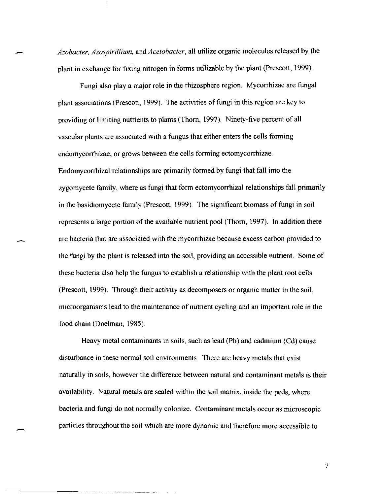*Azobacter. Azospirillium.* and *Acetobacter,* all utilize organic molecules released by the plant in exchange for fixing nitrogen in forms utilizable by the plant (Prescott, 1999).

-

-

Fungi also playa major role in the rhizosphere region. Mycorrhizae are fungal plant associations (Prescott, 1999). The activities of fungi in this region are key to providing or limiting nutrients to plants (Thorn, 1997). Ninety-five percent of all vascular plants are associated with a fungus that either enters the cells forming endomycorrhizae, or grows between the cells forming ectomycorrhizae. Endomycorrhizal relationships are primarily formed by fungi that fall into the zygomycete family, where as fungi that form ectomycorrhizal relationships fall primarily in the basidiomycete family (Prescott, 1999). The significant biomass of fungi in soil represents a large portion of the available nutrient pool (Thorn, 1997). In addition there are bacteria that are associated with the mycorrhizae because excess carbon provided to the fungi by the plant is released into the soil, providing an accessible nutrient. Some of these bacteria also help the fungus to establish a relationship with the plant root cells (Prescott, 1999). Through their activity as decomposers or organic matter in the soil, microorganisms lead to the maintenance of nutrient cycling and an important role in the food chain (Doelman, 1985).

Heavy metal contaminants in soils, such as lead (Pb) and cadmium (Cd) cause disturbance in these normal soil environments. There are heavy metals that exist naturally in SOils, however the difference between natural and contaminant metals is their availability. Katural metals are sealed within the soil matrix, inside the peds, where bacteria and fungi do not normally colonize. Contaminant metals occur as microscopic particles throughout the soil which are more dynamic and therefore more accessible to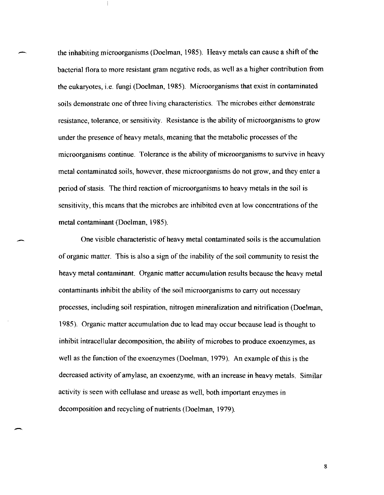the inhabiting microorganisms (Doelman, 1985). Heavy metals can cause a shift of the bacterial flora to more resistant gram negative rods, as well as a higher contribution from the eukaryotes, i.e. fungi (Doelman, 1985). Microorganisms that exist in contaminated soils demonstrate one of three living characteristics. The microbes either demonstrate resistance, tolerance, or sensitivity. Resistance is the ability of microorganisms to grow under the presence of heavy metals, meaning that the metabolic processes of the microorganisms continue. Tolerance is the ability of microorganisms to survive in heavy metal contaminated soils, however, these microorganisms do not grow, and they enter a period of stasis. The third reaction of microorganisms to heavy metals in the soil is sensitivity, this means that the microbes are inhibited even at low concentrations of the metal contaminant (Doelman, 1985).

One visible characteristic of heavy metal contaminated soils is the accumulation of organic matter. This is also a sign of the inability of the soil community to resist the heavy metal contaminant. Organic matter accumulation results because the heavy metal contaminants inhibit the ability of the soil microorganisms to carry out necessary processes, including soil respiration, nitrogen mineralization and nitrification (Doelman, 1985). Organic; matter accumulation due to lead may occur because lead is thought to inhibit intracellular decomposition, the ability of microbes to produce exoenzymes, as well as the function of the exoenzymes (Doelman, 1979). An example of this is the decreased activity of amylase, an exoenzyme, with an increase in heavy metals. Similar activity is seen with cellulase and urease as well, both important enzymes in decomposition and recycling of nutrients (Doelman, 1979).

-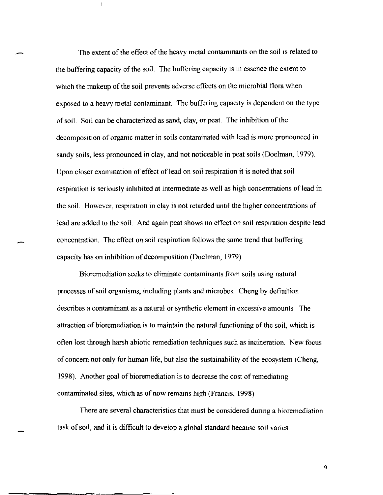The extent of the effect of the heavy metal contaminants on the soil is related to the buffering capacity of the soil. The buffering capacity is in essence the extent to which the makeup of the soil prevents adverse effects on the microbial flora when exposed to a heavy metal contaminant. The buffering capacity is dependent on the type of soil. Soil can be characterized as sand, clay, or peat. The inhibition of the decomposition of organic matter in soils contaminated with lead is more pronounced in sandy soils, less pronounced in clay, and not noticeable in peat soils (Doelman, 1979). Upon closer examination of effect of lead on soil respiration it is noted that soil respiration is seriously inhibited at intermediate as well as high concentrations of lead in the soil. However, respiration in clay is not retarded until the higher concentrations of lead are added to the soil. And again peat shows no effect on soil respiration despite lead concentration. The effect on soil respiration follows the same trend that buffering capacity has on inhibition of decomposition (Doelman, 1979).

Bioremediation seeks to eliminate contaminants from soils using natural processes of soil organisms, including plants and microbes. Cheng by definition describes a contaminant as a natural or synthetic element in excessive amounts. The attraction of bioremediation is to maintain the natural functioning of the soil, which is often lost through harsh abiotic remediation techniques such as incineration. New focus of concern not only for human life, but also the sustainability of the ecosystem (Cheng, 1998). Another goal of bioremediation is to decrease the cost of remediating contaminated sites, which as of now remains high (Francis, 1998).

There are several characteristics that must be considered during a bioremediation task of soil, and it is difficult to develop a global standard because soil varies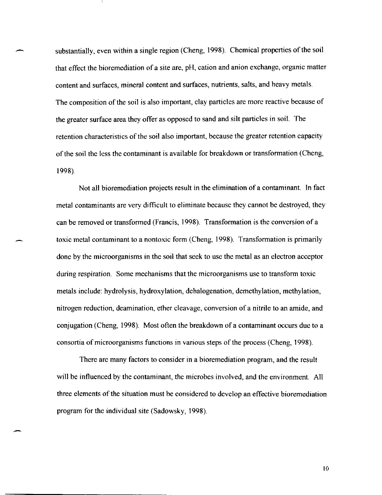substantially, even within a single region (Cheng, 1998). Chemical properties of the soil that effect the bioremediation of a site are, pH, cation and anion exchange, organic matter content and surfaces, mineral content and surfaces, nutrients, salts, and heavy metals. The composition of the soil is also important, clay particles are more reactive because of the greater surface area they offer as opposed to sand and silt particles in soil. The retention characteristics of the soil also important, because the greater retention capacity of the soil the less the contaminant is available for breakdown or transformation (Cheng, 1998).

Not all bioremediation projects result in the elimination of a contaminant. In fact metal contaminants are very difficult to eliminate because they cannot be destroyed, they can be removed or transformed (Francis, 1998). Transformation is the conversion of a toxic metal contaminant to a nontoxic form (Cheng, 1998). Transformation is primarily done by the microorganisms in the soil that seek to use the metal as an electron acceptor during respiration. Some mechanisms that the microorganisms use to transform toxic metals include: hydrolysis, hydroxylation, dehalogenation, demethylation, methylation, nitrogen reduction, deamination, ether cleavage, conversion of a nitrile to an amide, and conjugation (Cheng, 1998). Most often the breakdown of a contaminant occurs due to a consortia of microorganisms functions in various steps of the process (Cheng, 1998).

There are many factors to consider in a bioremediation program, and the result will be influenced by the contaminant, the microbes involved, and the environment. All three elements of the situation must be considered to develop an effective bioremediation program for the individual site (Sadowsky, 1998).

\0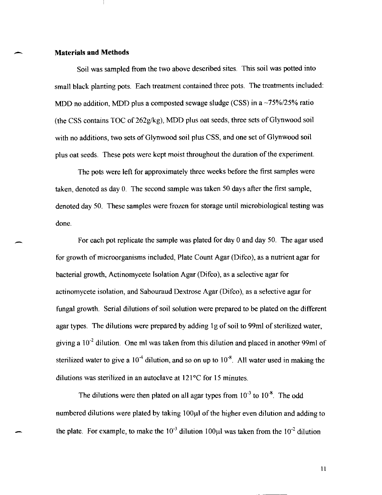### - **Materials and Methods**

Soil was sampled from the two above described sites. This soil was potted into small black planting pots. Each treatment contained three pots. The treatments included: MDD no addition, MDD plus a composted sewage sludge (CSS) in a  $\sim$ 75%/25% ratio (the CSS contains TOC of 262g/kg), MDD plus oat seeds, three sets of Glynwood soil with no additions, two sets of Glynwood soil plus CSS, and one set of Glynwood soil plus oat seeds. These pots were kept moist throughout the duration of the experiment.

The pots were left for approximately three weeks before the first samples were taken, denoted as day O. The second sample was taken 50 days after the first sample, denoted day 50. These samples were frozen for storage until microbiological testing was done.

For each pot replicate the sample was plated for day 0 and day 50. The agar used for growth of microorganisms included, Plate Count Agar (Difco), as a nutrient agar for bacterial growth, Actinomycete Isolation Agar (Difco), as a selective agar for actinomycete isolation, and Sabouraud Dextrose Agar (Difco), as a selective agar for fungal growth. Serial dilutions of soil solution were prepared to be plated on the different agar types. The dilutions were prepared by adding 1g of soil to 99ml of sterilized water, giving a  $10^{-2}$  dilution. One ml was taken from this dilution and placed in another 99ml of sterilized water to give a  $10^{-4}$  dilution, and so on up to  $10^{-8}$ . All water used in making the dilutions was sterilized in an autoclave at 121°C for 15 minutes.

The dilutions were then plated on all agar types from  $10^{-3}$  to  $10^{-8}$ . The odd numbered dilutions were plated by taking 100 $\mu$ l of the higher even dilution and adding to the plate. For example, to make the  $10^{-3}$  dilution 100 $\mu$ l was taken from the  $10^{-2}$  dilution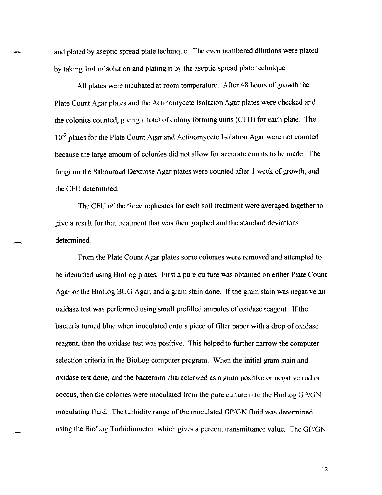and plated by aseptic spread plate technique. The even numbered dilutions were plated by taking 1 ml of solution and plating it by the aseptic spread plate technique.

All plates were incubated at room temperature. After 48 hours of growth the Plate Count Agar plates and the Actinomycete Isolation Agar plates were checked and the colonies counted, giving a total of colony forming units (CFU) for each plate. The 10<sup>-3</sup> plates for the Plate Count Agar and Actinomycete Isolation Agar were not counted because the large amount of colonies did not allow for accurate counts to be made. The fungi on the Sabouraud Dextrose Agar plates were counted after 1 week of growth, and the CFU determined.

The CFU of the three replicates for each soil treatment were averaged together to give a result for that treatment that was then graphed and the standard deviations determined.

-

From the Plate Count Agar plates some colonies were removed and attempted to be identified using BioLog plates. First a pure culture was obtained on either Plate Count Agar or the BioLog BUO Agar, and a gram stain done. If the gram stain was negative an oxidase test was performed using small prefilled ampules of oxidase reagent. If the bacteria turned blue when inoculated onto a piece of filter paper with a drop of oxidase reagent, then the oxidase test was positive. This helped to further narrow the computer selection criteria in the BioLog computer program. When the initial gram stain and oxidase test done, and the bacterium characterized as a gram positive or negative rod or coccus, then the colonies were inoculated from the pure culture into the BioLog GP/GN inoculating fluid. The turbidity range of the inoculated GP/GN fluid was determined using the BioLog Turbidiometer, which gives a percent transmittance value. The GP/GN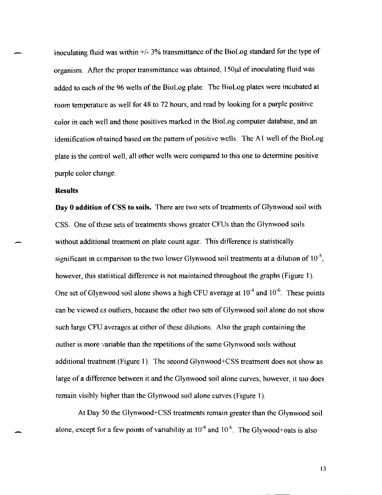inoculating fluid was within  $+/- 3\%$  transmittance of the BioLog standard for the type of organism. After the proper transmittance was obtained, 150 $\mu$ l of inoculating fluid was added to each of the 96 wells of the BioLog plate. The BioLog plates were incubated at room temperature as well for 48 to 72 hours, and read by looking for a purple positive color in each well and those positives marked in the BioLog computer database, and an identification obtained based on the pattern of positive wells. The Al well of the BioLog plate is the control well, all other wells were compared to this one to determine positive purple color change.

### **Results**

**Day 0 addition of CSS to soils.** There are two sets of treatments of Glynwood soil with CSS. One of these sets of treatments shows greater CFUs than the Glynwood soils without additional treatment on plate count agar. This difference is statistically significant in comparison to the two lower Glynwood soil treatments at a dilution of  $10^{-5}$ , however, this statistical difference is not maintained throughout the graphs (Figure 1). One set of Glynwood soil alone shows a high CFU average at  $10^{-4}$  and  $10^{-6}$ . These points can be viewed as outliers, because the other two sets of Glynwood soil alone do not show such large CFU averages at either of these dilutions. Also the graph containing the outlier is more variable than the repetitions of the same Glynwood soils without additional treatment (Figure 1) The second Glynwood+CSS treatment does not show as large of a difference between it and the Glynwood soil alone curves; however, it too does remain visibly higher than the Glynwood soil alone curves (Figure 1).

At Day 50 the Glynwood+CSS treatments remain greater than the Glynwood soil alone, except for a few points of variability at  $10^{-4}$  and  $10^{-6}$ . The Glywood+oats is also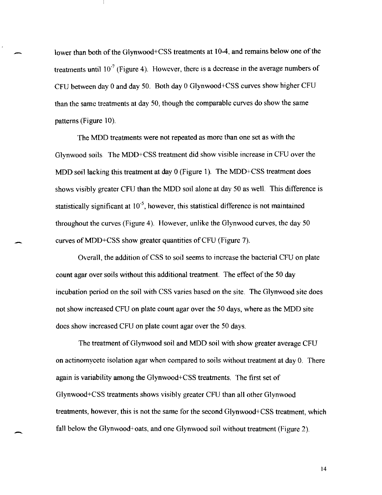lower than both of the Glynwood+CSS treatments at 10-4, and remains below one of the treatments until  $10^{-7}$  (Figure 4). However, there is a decrease in the average numbers of CFU between day 0 and day 50. Both day 0 Glynwood+CSS curves show higher CFU than the same treatments at day 50, though the comparable curves do show the same patterns (Figure 10).

The MDD treatments were not repeated as more than one set as with the Glynwood soils. The MDD+CSS treatment did show visible increase in CPU over the MDD soil lacking this treatment at day 0 (Figure I). The MDD+CSS treatment does shows visibly greater CFU than the MDD soil alone at day 50 as well. This difference is statistically significant at  $10^{-5}$ , however, this statistical difference is not maintained throughout the curves (Figure 4). However, unlike the Glynwood curves, the day 50 curves of MDD+CSS show greater quantities of CFU (Figure 7).

Overall, the addition of CSS to soil seems to increase the bacterial CPU on plate count agar over soils without this additional treatment. The effect of the 50 day incubation period on the soil with CSS varies based on the site. The Glynwood site does not show increased CFU on plate count agar over the 50 days, where as the MDD site does show increased CFU on plate count agar over the 50 days.

The treatment of Glynwood soil and MDD soil with show greater average CFU on actinomycete isolation agar when compared to soils without treatment at day O. There again is variability among the Glynwood+CSS treatments. The first set of Glynwood+CSS treatments shows visibly greater CPU than all other Glynwood treatments, however, this is not the same for the second Glynwood+CSS treatment, which fall below the Glynwood+oats, and one Glynwood soil without treatment (Figure 2).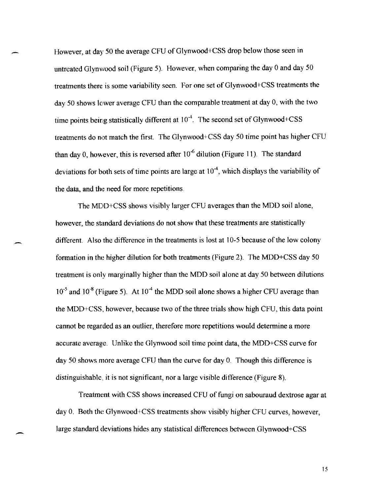However, at day 50 the average CFU of Glynwood+CSS drop below those seen in untreated Glynwood soil (Figure 5). However, when comparing the day 0 and day 50 treatments there is some variability seen. For one set of Glynwood+CSS treatments the day 50 shows lower average CFU than the comparable treatment at day 0, with the two time points being statistically different at  $10^{-4}$ . The second set of Glynwood+CSS treatments do not match the first. The Glynwood+CSS day 50 time point has higher CFU than day 0, however, this is reversed after  $10^{-6}$  dilution (Figure 11). The standard deviations for both sets of time points are large at  $10^{-4}$ , which displays the variability of the data, and the need for more repetitions.

The MDO+CSS shows visibly larger CFU averages than the MOO soil alone, however, the standard deviations do not show that these treatments are statistically different. Also the difference in the treatments is lost at 10-5 because of the low colony formation in the higher dilution for both treatments (Figure 2). The MDO+CSS day 50 treatment is only marginally higher than the MDO soil alone at day 50 between dilutions  $10^{-5}$  and  $10^{-8}$  (Figure 5). At  $10^{-4}$  the MDD soil alone shows a higher CFU average than the MOO+CSS, however, because two of the three trials show high CFU, this data point cannot be regarded as an outlier, therefore more repetitions would determine a more accurate average. Unlike the Glynwood soil time point data, the MDO+CSS curve for day 50 shows more average CFU than the curve for day 0. Though this difference is distinguishable., it is not significant, nor a large visible difference (Figure 8).

Treatment with CSS shows increased CFU of fungi on sabouraud dextrose agar at day O. Both the Glynwood+CSS treatments show visibly higher CFU curves, however, large standard deviations hides any statistical differences between Glynwood+CSS

-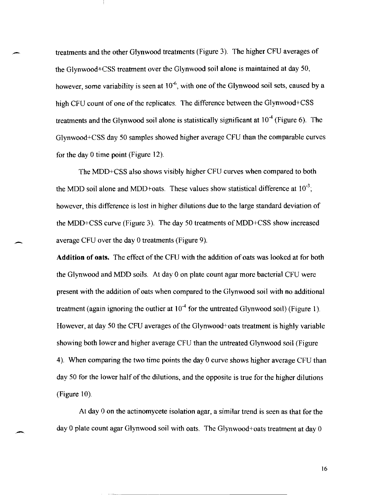treatments and the other Glynwood treatments (Figure 3). The higher CFU averages of the Glynwood+CSS treatment over the Glynwood soil alone is maintained at day 50, however, some variability is seen at  $10^{-6}$ , with one of the Glynwood soil sets, caused by a high CFU count of one of the replicates. The difference between the Glynwood+CSS treatments and the Glynwood soil alone is statistically significant at  $10^{-4}$  (Figure 6). The Glynwood+CSS day 50 samples showed higher average CFU than the comparable curves for the day 0 time point (Figure 12).

The MDD+CSS also shows visibly higher CFU curves when compared to both the MDD soil alone and MDD+oats. These values show statistical difference at  $10^{-3}$ ; however, this difference is lost in higher dilutions due to the large standard deviation of the MDD+CSS curve (Figure 3). The day 50 treatments of MDD+CSS show increased average CFU over the day 0 treatments (Figure 9).

**Addition of oats.** The effect of the CFU with the addition of oats was looked at for both the Glynwood and MDD soils. At day 0 on plate count agar more bacterial CFU were present with the addition of oats when compared to the Glynwood soil with no additional treatment (again ignoring the outlier at  $10^{-4}$  for the untreated Glynwood soil) (Figure 1). However, at day 50 the CFU averages of the Glynwood+oats treatment is highly variable showing both lower and higher average CFU than the untreated Glynwood soil (Figure 4). When comparing the two time points the day 0 curve shows higher average CFU than day 50 for the lower half of the dilutions, and the opposite is true for the higher dilutions (Figure 10).

At day 0 on the actinomycete isolation agar, a similar trend is seen as that for the day 0 plate count agar Glynwood soil with oats. The Glynwood+oats treatment at day 0

-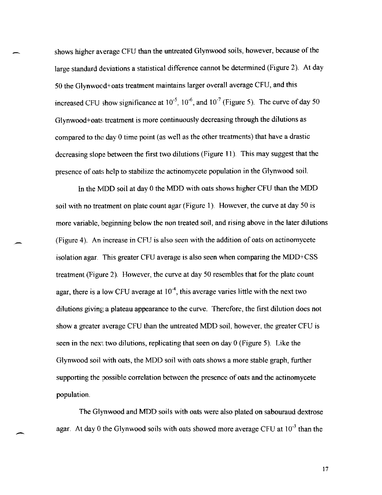shows higher average CFU than the untreated Glynwood soils, however, because of the large standard deviations a statistical difference cannot be determined (Figure 2). At day 50 the Glynwood+oats treatment maintains larger overall average CFU, and this increased CFU show significance at  $10^{-5}$ ,  $10^{-6}$ , and  $10^{-7}$  (Figure 5). The curve of day 50 Glynwood+oats treatment is more continuously decreasing through the dilutions as compared to the day 0 time point (as well as the other treatments) that have a drastic decreasing slope between the first two dilutions (Figure 11). This may suggest that the presence of oats help to stabilize the actinomycete population in the Glynwood soil.

In the MOD soil at day 0 the MOD with oats shows higher CFU than the MOD soil with no treatment on plate count agar (Figure I). However, the curve at day 50 is more variable, beginning below the non treated soil, and rising above in the later dilutions (Figure 4). An increase in CFU is also seen with the addition of oats on actinomycete isolation agar. This greater CFU average is also seen when comparing the MDD+CSS treatment (Figure 2). However, the curve at day 50 resembles that for the plate count agar, there is a low CFU average at  $10^{-4}$ , this average varies little with the next two dilutions giving a plateau appearance to the curve. Therefore, the first dilution does not show a greater average CFU than the untreated MOD soil, however, the greater CFU is seen in the next two dilutions, replicating that seen on day 0 (Figure 5). Like the Glynwood soil with oats, the MOD soil with oats shows a more stable graph, further supporting the possible correlation between the presence of oats and the actinomycete population.

The GI)'nwood and MDD soils with oats were also plated on sabouraud dextrose agar. At day 0 the Glynwood soils with oats showed more average CFU at  $10^{-3}$  than the

-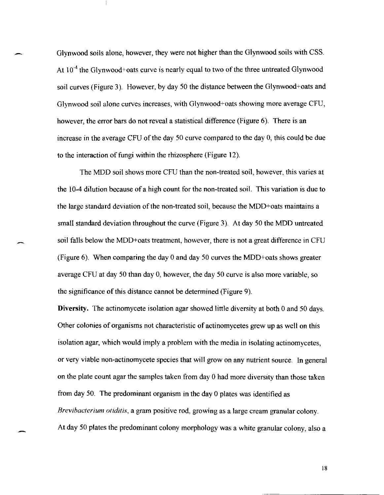Glynwood soils alone, however, they were not higher than the Glynwood soils with CSS. At  $10^{-4}$  the Glynwood+oats curve is nearly equal to two of the three untreated Glynwood soil curves (Figure 3). However, by day 50 the distance between the Glynwood+oats and Glynwood soil alone curves increases, with Glynwood+oats showing more average CFU, however, the error bars do not reveal a statistical difference (Figure 6). There is an increase in the average CFU of the day 50 curve compared to the day 0, this could be due to the interaction of fungi within the rhizosphere (Figure 12).

The MDD soil shows more CFU than the non-treated soil, however, this varies at the 10-4 dilution because of a high count for the non-treated soil. This variation is due to the large standard deviation of the non-treated soil, because the MDD+oats maintains a small standard deviation throughout the curve (Figure 3). At day 50 the MDD untreated soil falls below the MDD+oats treatment, however, there is not a great difference in CFU (Figure 6). When comparing the day 0 and day 50 curves the MDD+oats shows greater average CFU at day 50 than day 0, however, the day 50 curve is also more variable, so the significance of this distance cannot be detennined (Figure 9).

Diversity. The actinomycete isolation agar showed little diversity at both 0 and 50 days. Other colonies of organisms not characteristic of actinomycetes grew up as well on this isolation agar, which would imply a problem with the media in isolating actinomycetes, or very viable non-actinomycete species that will grow on any nutrient source. In general on the plate count agar the samples taken from day 0 had more diversity than those taken from day 50. The predominant organism in the day 0 plates was identified as *Rrevibacterium otiditis,* a gram positive rod, growing as a large cream granular colony. At day 50 plates the predominant colony morphology was a white granular colony, also a

-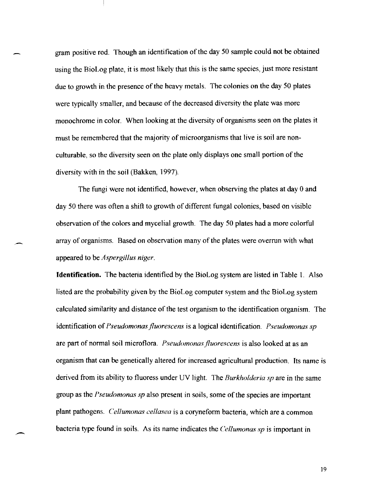gram positive rod. Though an identification of the day 50 sample could not be obtained using the BioLog plate, it is most likely that this is the same species, just more resistant due to growth in the presence of the heavy metals. The colonies on the day 50 plates were typically smaller, and because of the decreased diversity the plate was more monochrome in color. When looking at the diversity of organisms seen on the plates it must be remembered that the majority of microorganisms that live is soil are nonculturable, so the diversity seen on the plate only displays one small portion of the diversity with in the soil (Bakken, 1997).

The fungi were not identified, however, when observing the plates at day 0 and day 50 there was often a shift to growth of different fungal colonies, based on visible observation of the colors and mycelial growth. The day 50 plates had a more colorful array of organisms. Based on observation many of the plates were overrun with what appeared to be *Aspergillus niger.* 

**Identification.** The bacteria identified by the BioLog system are listed in Table 1. Also listed are the probability given by the BioLog computer system and the BioLog system calculated similarity and distance of the test organism to the identification organism. The identification of *Pseudomonas jluorescens* is a logical identification. *Pseudomonas sp*  are part of normal soil microflora. *Pseudomonas fluorescens* is also looked at as an organism that can be genetically altered for increased agricultural production. Its name is derived from its ability to fluoress under UV light. The *Burkholderia sp* are in the same group as the *Pseudomonas sp* also present in soils, some of the species are important plant pathogens. *Cellumonas cellasea* is a coryneform bacteria, which are a common bacteria type found in soils. As its name indicates the *Cel/umonas sp* is important in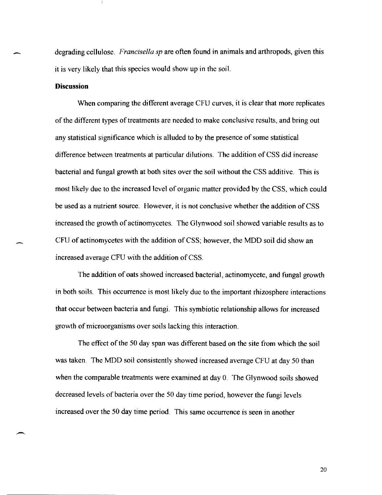degrading cellulose. *Francisella sp* are often found in animals and arthropods, given this it is very likely that this species would show up in the soil.

### **Discussion**

-

When comparing the different average CFU curves, it is clear that more replicates of the different types of treatments are needed to make conclusive results, and bring out any statistical significance which is alluded to by the presence of some statistical difference between treatments at particular dilutions. The addition of CSS did increase bacterial and fungal growth at both sites over the soil without the CSS additive. This is most likely due to the increased level of organic matter provided by the CSS, which could be used as a nutrient source. However, it is not conclusive whether the addition of CSS increased the growth of actinomycetes. The Glynwood soil showed variable results as to CFU of actinomycetes with the addition of CSS; however, the MDD soil did show an increased average CFU with the addition of CSS.

The addition of oats showed increased bacterial, actinomycete, and fungal growth in both soils. This occurrence is most likely due to the important rhizosphere interactions that occur between bacteria and fungi. This symbiotic relationship allows for increased growth of microorganisms over soils lacking this interaction.

The effect of the 50 day span was different based on the site from which the soil was taken. The MDD soil consistently showed increased average CFU at day 50 than when the comparable treatments were examined at day 0. The Glynwood soils showed decreased levels of bacteria over the 50 day time period, however the fungi levels increased over the 50 day time period. This same occurrence is seen in another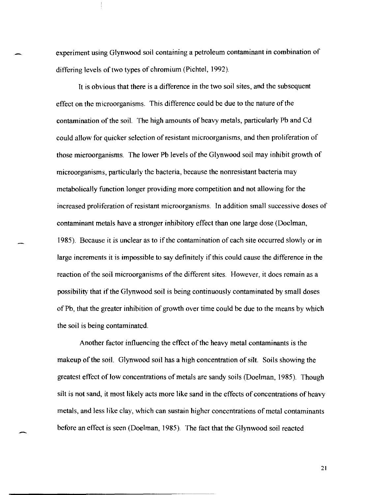experiment using Glynwood soil containing a petroleum contaminant in combination of differing levels of two types of chromium (Pichtel, 1992).

It is obvious that there is a difference in the two soil sites, and the subsequent effect on the microorganisms. This difference could be due to the nature of the contamination of the soil. The high amounts of heavy metals, particularly Pb and Cd could allow for quicker selection of resistant microorganisms, and then proliferation of those microorganisms. The lower Pb levels of the Glynwood soil may inhibit growth of microorganisms, particularly the bacteria, because the nonresistant bacteria may metabolically function longer providing more competition and not allowing for the increased proliferation of resistant microorganisms. In addition small successive doses of contaminant metals have a stronger inhibitory effect than one large dose (Doelman, 1985). Because it is unclear as to if the contamination of each site occurred slowly or in large increments it is impossible to say definitely if this could cause the difference in the reaction of the soil microorganisms of the different sites. However, it does remain as a possibility that if the Glynwood soil is being continuously contaminated by small doses of Pb, that the greater inhibition of growth over time could be due to the means by which the soil is being contaminated.

Another factor influencing the effect of the heavy metal contaminants is the makeup of the soil. Glynwood soil has a high concentration of silt. Soils showing the greatest effect of low concentrations of metals are sandy soils (Doelman, 1985). Though silt is not sand, it most likely acts more like sand in the effects of concentrations of heavy metals, and less like clay, which can sustain higher concentrations of metal contaminants before an effect is seen (Doelman, 1985). The fact that the Glynwood soil reacted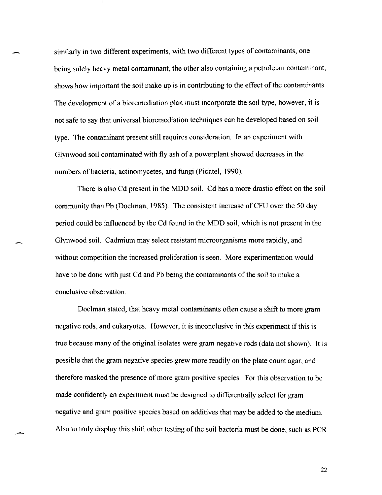similarly in two different experiments, with two different types of contaminants, one being solely heavy metal contaminant, the other also containing a petroleum contaminant, shows how important the soil make up is in contributing to the effect of the contaminants. The development of a bioremediation plan must incorporate the soil type, however, it is not safe to say that universal bioremediation techniques can be developed based on soil type. The contaminant present still requires consideration. In an experiment with Glynwood soil contaminated with fly ash of a powerplant showed decreases in the numbers of bacteria, actinomycetes, and fungi (Pichtel, 1990).

There is also Cd present in the MDD soiL Cd has a more drastic effect on the soil community than Pb (Doelman, 1985). The consistent increase of CFU over the 50 day period could be influenced by the Cd found in the MDD soil, which is not present in the Glynwood soiL Cadmium may select resistant microorganisms more rapidly, and without competition the increased proliferation is seen. More experimentation would have to be done with just Cd and Pb being the contaminants of the soil to make a conclusive observation.

Doelman stated, that heavy metal contaminants often cause a shift to more gram negative rods, and eukaryotes. However, it is inconclusive in this experiment if this is true because many of the original isolates were gram negative rods (data not shown). It is possible that the gram negative species grew more readily on the plate count agar, and therefore masked the presence of more gram positive species. For this observation to be made confidently an experiment must be designed to differentially select for gram negative and gram positive species based on additives that may be added to the medium. Also to truly display this shift other testing of the soil bacteria must be done, such as PCR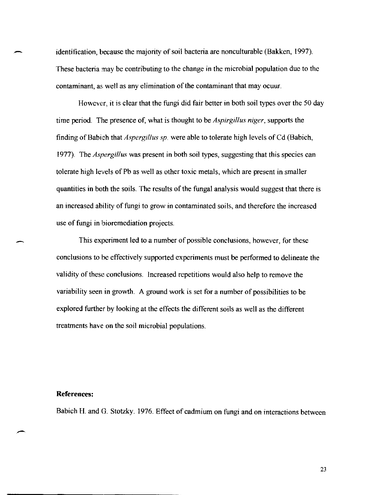identification, because the majority of soil bacteria are nonculturable (Bakken, 1997). These bacteria may be contributing to the change in the microbial population due to the contaminant, as well as any elimination of the contaminant that may ocuur.

However, it is clear that the fungi did fair better in both soil types over the 50 day time period. The presence of, what is thought to be *Aspirgillus niger,* supports the finding of Babich that *Aspergillus sp.* were able to tolerate high levels of Cd (Babich, 1977). The *Aspergillus* was present in both soil types, suggesting that this species can tolerate high levels of Pb as well as other toxic metals, which are present in smaller quantities in both the soils. The results of the fungal analysis would suggest that there is an increased ability of fungi to grow in contaminated soils, and therefore the increased use of fungi in bioremediation projects.

This experiment led to a number of possible conclusions, however, for these conclusions to be effectively supported experiments must be performed to delineate the validity of these conclusions. Increased repetitions would also help to remove the variability seen in growth. A ground work is set for a number of possibilities to be explored further by looking at the effects the different soils as well as the different treatments have on the soil microbial populations.

#### **References:**

---

-

Babich H. and G. Stotzky. 1976. Effect of cadmium on fungi and on interactions between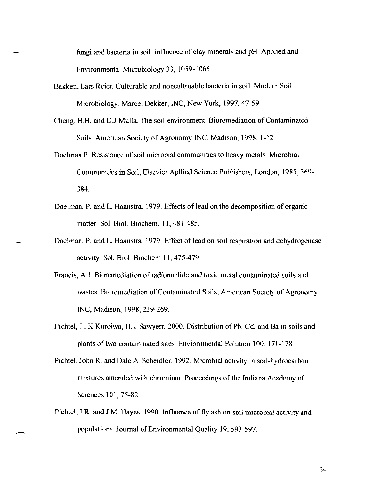fungi and bacteria in soil: influence of clay minerals and pH. Applied and Environmental Microbiology 33, 1059-1066.

- Bakken, Lars Reier. CuIturable and noncuItruable bacteria in soil. Modern Soil Microbiology, Marcel Dekker, INC, New York, 1997,47-59.
- Cheng, H.H. and D.J Mulla. The soil environment. Bioremediation of Contaminated Soils, American Society of Agronomy INC, Madison, 1998, 1-12.
- Doe1man P. Resistance of soil microbial communities to heavy metals. Microbial Communities in Soil, Elsevier Apllied Science Publishers, London, 1985, 369- 384.
- Doelman, P. and L. Haanstra. 1979. Effects of lead on the decomposition of organic matter. Sol. Biol. Biochem. 11, 481-485.
- Doelman, P. and L. Haanstra. 1979. Effect of lead on soil respiration and dehydrogenase activity. Sol. BioI. Biochem 11,475-479.
- Francis, A.J. Bioremediation of radionuclide and toxic metal contaminated soils and wastes. Bioremediation of Contaminated Soils, American Society of Agronomy INC, Madison, 1998,239-269.
- Pichtel, J., K Kuroiwa, H.T Sawyerr. 2000. Distribution of Pb, Cd, and Ba in soils and plants of two contaminated sites. Enviornmental Polution 100, 171-178.
- Pichtel, John R. and Dale A. Scheidler. 1992. Microbial activity in soil-hydrocarbon mixtures amended with chromium. Proceedings of the Indiana Academy of Sciences 101,75-82.
- Pichtel, J.R and J.M. Hayes. 1990. Influence of fly ash on soil microbial activity and populations. Journal of Environmental Quality 19,593-597.

-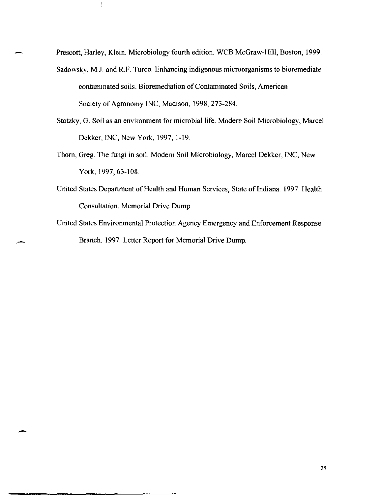Prescott, Harley, Klein. Microbiology fourth edition. WCB McGraw-Hill, Boston, 1999.

 $\frac{1}{3}$ 

- Sadowsky, M.J. and R.F. Turco. Enhancing indigenous microorganisms to bioremediate contaminated soils. Bioremediation of Contaminated Soils, American Society of Agronomy INC, Madison, 1998, 273-284.
- Stotzky, G. Soil as an environment for microbial life. Modem Soil Microbiology, Marcel Dekker, INC, New York, 1997, 1-19.
- Thorn, Greg. The fungi **in** soil. Modem Soil Microbiology, Marcel Dekker, INC, New York, 1997,63-108.
- United States Department of Health and Human Services, State of Indiana. 1997. Health Consultation, Memorial Drive Dump.
- United States Environmental Protection Agency Emergency and Enforcement Response Branch. 1997. Letter Report for Memorial Drive Dump.

-

-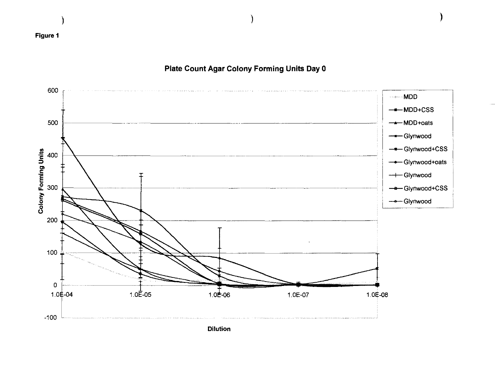

# Plate Count Agar Colony Forming Units Day 0

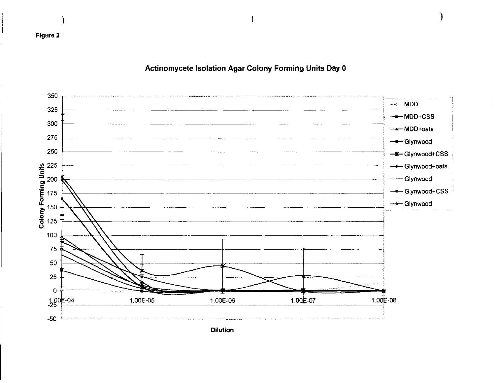

Actinomycete Isolation Agar Colony Forming Units Day 0

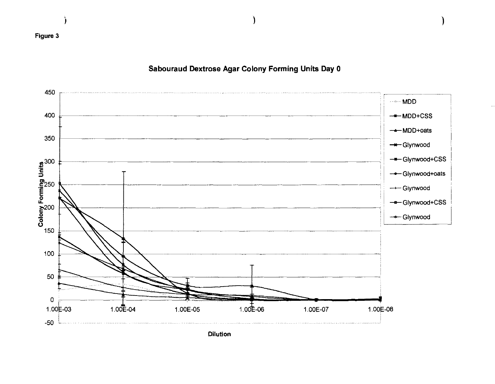

Sabouraud Dextrose Agar Colony Forming Units Day 0

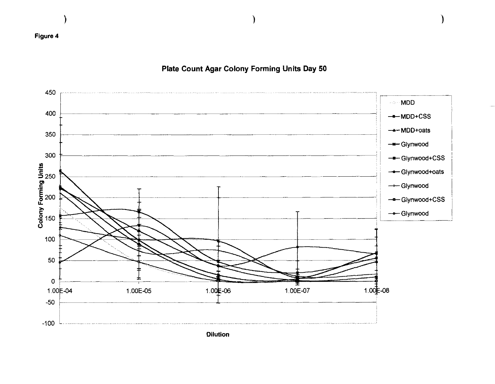

# Plate Count Agar Colony Forming Units Day 50

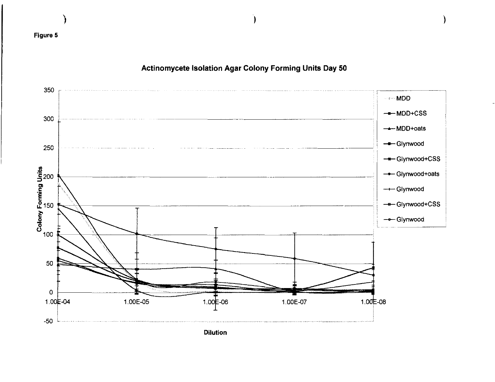

Actinomycete Isolation Agar Colony Forming Units Day 50

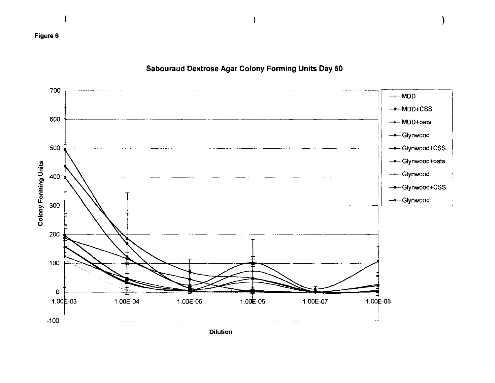

Sabouraud Dextrose Agar Colony Forming Units Day 50



**Dilution**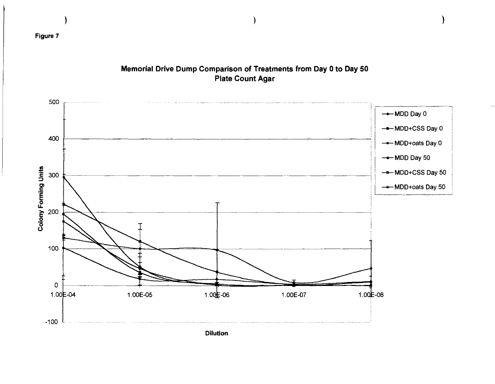

# Memorial Drive Dump Comparison of Treatments from Day 0 to Day 50 **Plate Count Agar**

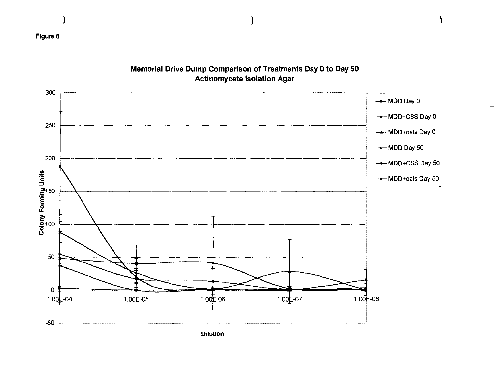

# Memorial Drive Dump Comparison of Treatments Day 0 to Day 50 **Actinomycete Isolation Agar**

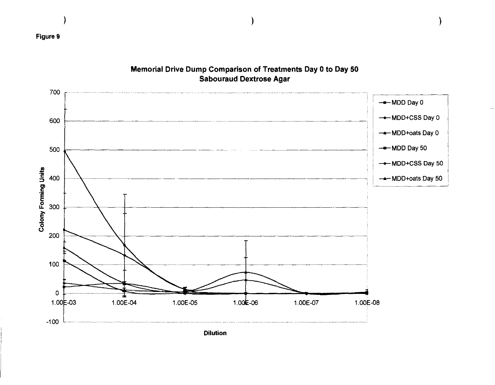

# Memorial Drive Dump Comparison of Treatments Day 0 to Day 50 **Sabouraud Dextrose Agar**

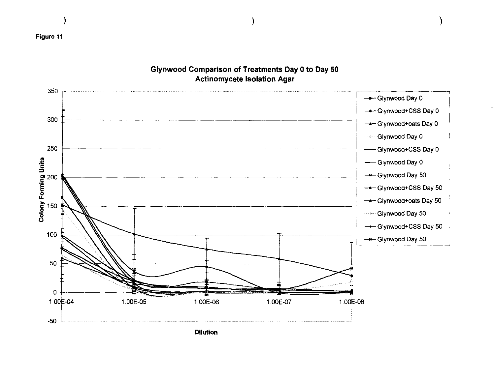

## Glynwood Comparison of Treatments Day 0 to Day 50 **Actinomycete Isolation Agar**